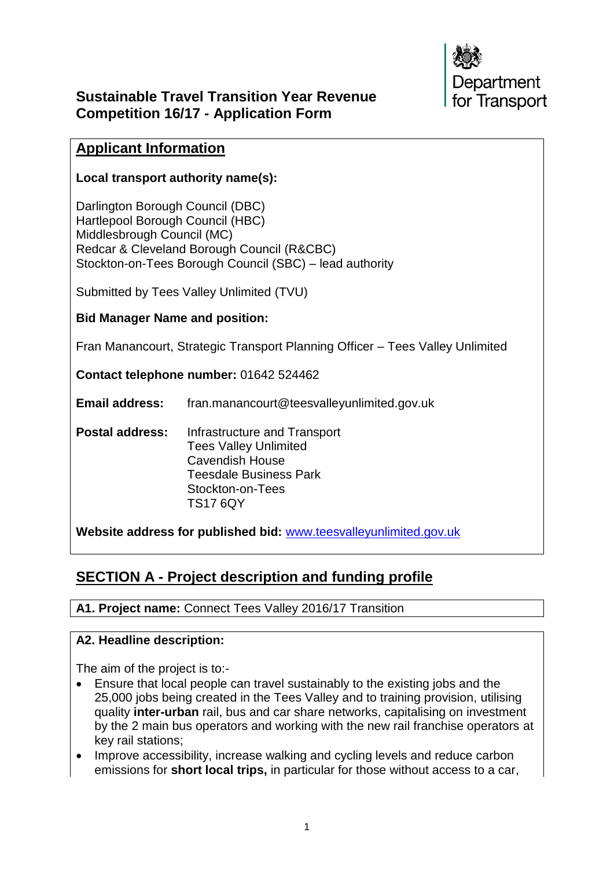

## **Sustainable Travel Transition Year Revenue Competition 16/17 - Application Form**

## **Applicant Information**

#### **Local transport authority name(s):**

Darlington Borough Council (DBC) Hartlepool Borough Council (HBC) Middlesbrough Council (MC) Redcar & Cleveland Borough Council (R&CBC) Stockton-on-Tees Borough Council (SBC) – lead authority

Submitted by Tees Valley Unlimited (TVU)

#### **Bid Manager Name and position:**

Fran Manancourt, Strategic Transport Planning Officer – Tees Valley Unlimited

**Contact telephone number:** 01642 524462

**Email address:** fran.manancourt@teesvalleyunlimited.gov.uk

**Postal address:** Infrastructure and Transport Tees Valley Unlimited Cavendish House Teesdale Business Park Stockton-on-Tees TS17 6QY

**Website address for published bid:** [www.teesvalleyunlimited.gov.uk](http://www.teesvalleyunlimited.gov.uk/)

# **SECTION A - Project description and funding profile**

#### **A1. Project name:** Connect Tees Valley 2016/17 Transition

#### **A2. Headline description:**

The aim of the project is to:-

- Ensure that local people can travel sustainably to the existing jobs and the 25,000 jobs being created in the Tees Valley and to training provision, utilising quality **inter-urban** rail, bus and car share networks, capitalising on investment by the 2 main bus operators and working with the new rail franchise operators at key rail stations;
- Improve accessibility, increase walking and cycling levels and reduce carbon emissions for **short local trips,** in particular for those without access to a car,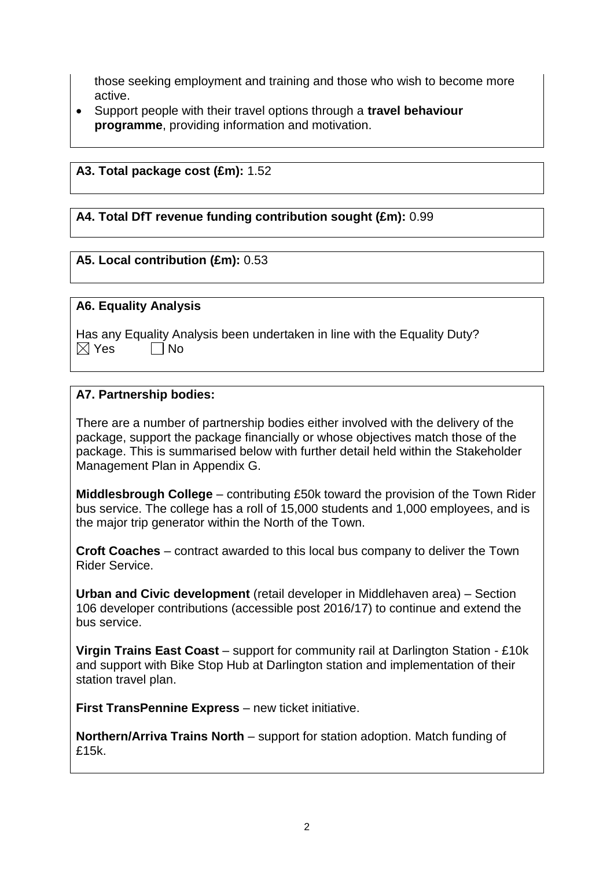those seeking employment and training and those who wish to become more active.

 Support people with their travel options through a **travel behaviour programme**, providing information and motivation.

#### **A3. Total package cost (£m):** 1.52

#### **A4. Total DfT revenue funding contribution sought (£m):** 0.99

#### **A5. Local contribution (£m):** 0.53

#### **A6. Equality Analysis**

Has any Equality Analysis been undertaken in line with the Equality Duty?  $\boxtimes$  Yes  $\Box$  No

#### **A7. Partnership bodies:**

There are a number of partnership bodies either involved with the delivery of the package, support the package financially or whose objectives match those of the package. This is summarised below with further detail held within the Stakeholder Management Plan in Appendix G.

**Middlesbrough College** – contributing £50k toward the provision of the Town Rider bus service. The college has a roll of 15,000 students and 1,000 employees, and is the major trip generator within the North of the Town.

**Croft Coaches** – contract awarded to this local bus company to deliver the Town Rider Service.

**Urban and Civic development** (retail developer in Middlehaven area) – Section 106 developer contributions (accessible post 2016/17) to continue and extend the bus service.

**Virgin Trains East Coast** – support for community rail at Darlington Station - £10k and support with Bike Stop Hub at Darlington station and implementation of their station travel plan.

**First TransPennine Express** – new ticket initiative.

**Northern/Arriva Trains North** – support for station adoption. Match funding of £15k.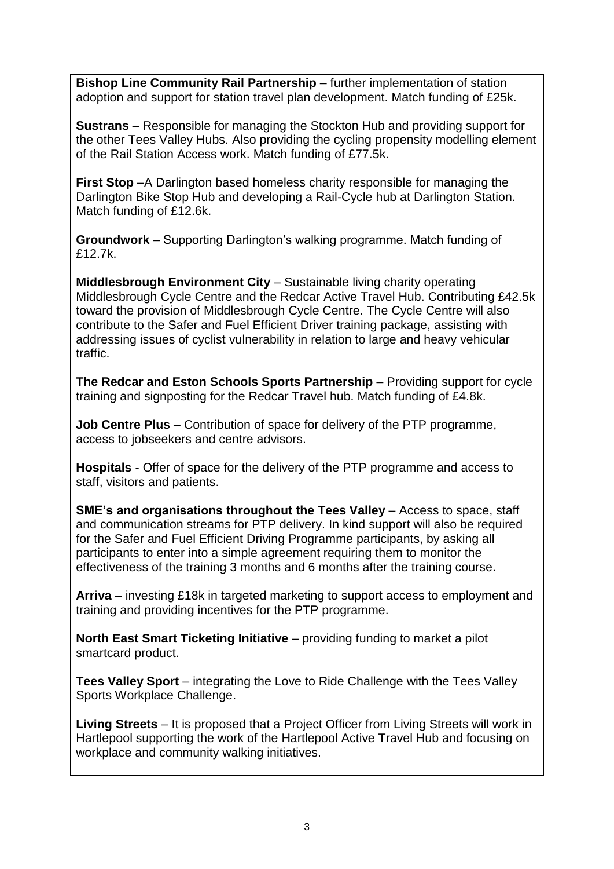**Bishop Line Community Rail Partnership** – further implementation of station adoption and support for station travel plan development. Match funding of £25k.

**Sustrans** – Responsible for managing the Stockton Hub and providing support for the other Tees Valley Hubs. Also providing the cycling propensity modelling element of the Rail Station Access work. Match funding of £77.5k.

**First Stop** –A Darlington based homeless charity responsible for managing the Darlington Bike Stop Hub and developing a Rail-Cycle hub at Darlington Station. Match funding of £12.6k.

**Groundwork** – Supporting Darlington's walking programme. Match funding of £12.7k.

**Middlesbrough Environment City** – Sustainable living charity operating Middlesbrough Cycle Centre and the Redcar Active Travel Hub. Contributing £42.5k toward the provision of Middlesbrough Cycle Centre. The Cycle Centre will also contribute to the Safer and Fuel Efficient Driver training package, assisting with addressing issues of cyclist vulnerability in relation to large and heavy vehicular traffic.

**The Redcar and Eston Schools Sports Partnership** – Providing support for cycle training and signposting for the Redcar Travel hub. Match funding of £4.8k.

**Job Centre Plus** – Contribution of space for delivery of the PTP programme, access to jobseekers and centre advisors.

**Hospitals** - Offer of space for the delivery of the PTP programme and access to staff, visitors and patients.

**SME's and organisations throughout the Tees Valley** – Access to space, staff and communication streams for PTP delivery. In kind support will also be required for the Safer and Fuel Efficient Driving Programme participants, by asking all participants to enter into a simple agreement requiring them to monitor the effectiveness of the training 3 months and 6 months after the training course.

**Arriva** – investing £18k in targeted marketing to support access to employment and training and providing incentives for the PTP programme.

**North East Smart Ticketing Initiative** – providing funding to market a pilot smartcard product.

**Tees Valley Sport** – integrating the Love to Ride Challenge with the Tees Valley Sports Workplace Challenge.

**Living Streets** – It is proposed that a Project Officer from Living Streets will work in Hartlepool supporting the work of the Hartlepool Active Travel Hub and focusing on workplace and community walking initiatives.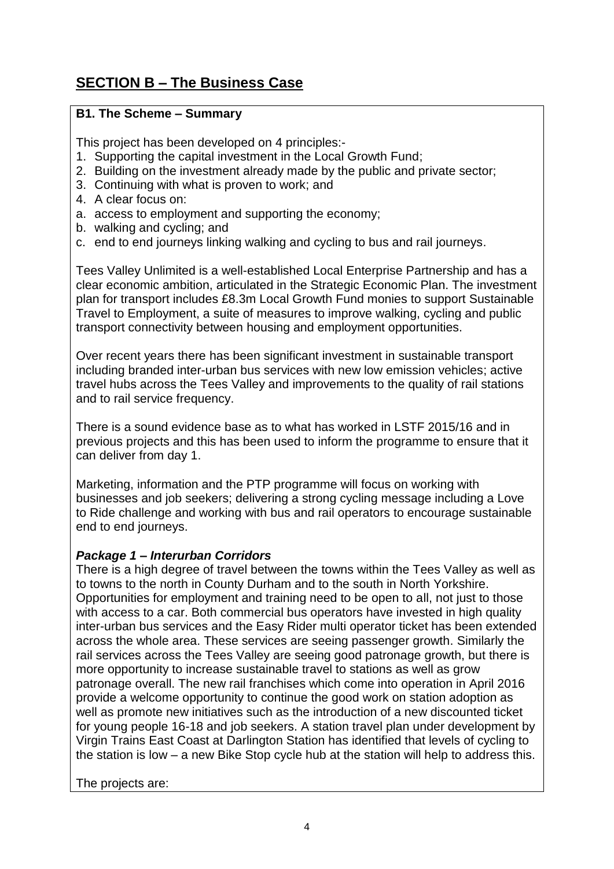# **SECTION B – The Business Case**

## **B1. The Scheme – Summary**

This project has been developed on 4 principles:-

- 1. Supporting the capital investment in the Local Growth Fund;
- 2. Building on the investment already made by the public and private sector;
- 3. Continuing with what is proven to work; and
- 4. A clear focus on:
- a. access to employment and supporting the economy;
- b. walking and cycling; and
- c. end to end journeys linking walking and cycling to bus and rail journeys.

Tees Valley Unlimited is a well-established Local Enterprise Partnership and has a clear economic ambition, articulated in the Strategic Economic Plan. The investment plan for transport includes £8.3m Local Growth Fund monies to support Sustainable Travel to Employment, a suite of measures to improve walking, cycling and public transport connectivity between housing and employment opportunities.

Over recent years there has been significant investment in sustainable transport including branded inter-urban bus services with new low emission vehicles; active travel hubs across the Tees Valley and improvements to the quality of rail stations and to rail service frequency.

There is a sound evidence base as to what has worked in LSTF 2015/16 and in previous projects and this has been used to inform the programme to ensure that it can deliver from day 1.

Marketing, information and the PTP programme will focus on working with businesses and job seekers; delivering a strong cycling message including a Love to Ride challenge and working with bus and rail operators to encourage sustainable end to end journeys.

## *Package 1 – Interurban Corridors*

There is a high degree of travel between the towns within the Tees Valley as well as to towns to the north in County Durham and to the south in North Yorkshire. Opportunities for employment and training need to be open to all, not just to those with access to a car. Both commercial bus operators have invested in high quality inter-urban bus services and the Easy Rider multi operator ticket has been extended across the whole area. These services are seeing passenger growth. Similarly the rail services across the Tees Valley are seeing good patronage growth, but there is more opportunity to increase sustainable travel to stations as well as grow patronage overall. The new rail franchises which come into operation in April 2016 provide a welcome opportunity to continue the good work on station adoption as well as promote new initiatives such as the introduction of a new discounted ticket for young people 16-18 and job seekers. A station travel plan under development by Virgin Trains East Coast at Darlington Station has identified that levels of cycling to the station is low – a new Bike Stop cycle hub at the station will help to address this.

The projects are: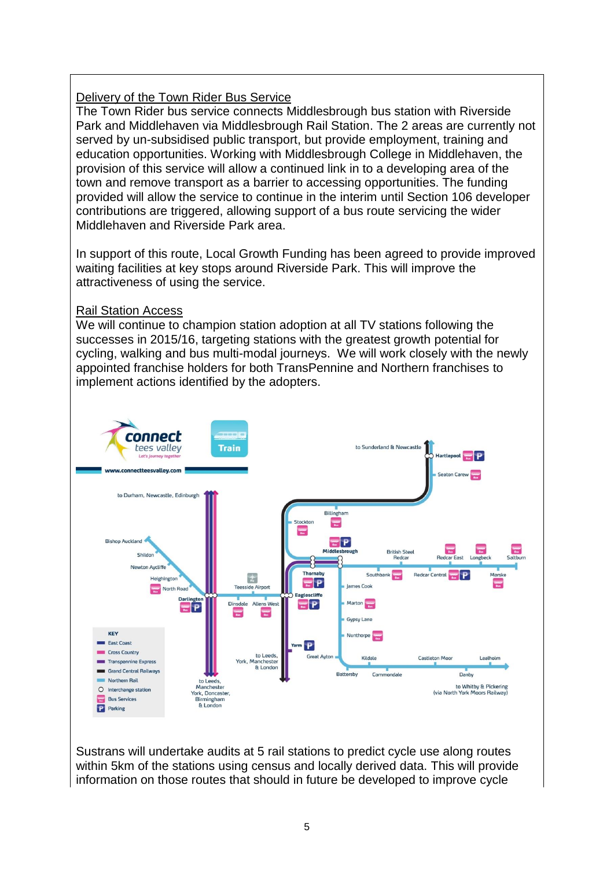#### Delivery of the Town Rider Bus Service

The Town Rider bus service connects Middlesbrough bus station with Riverside Park and Middlehaven via Middlesbrough Rail Station. The 2 areas are currently not served by un-subsidised public transport, but provide employment, training and education opportunities. Working with Middlesbrough College in Middlehaven, the provision of this service will allow a continued link in to a developing area of the town and remove transport as a barrier to accessing opportunities. The funding provided will allow the service to continue in the interim until Section 106 developer contributions are triggered, allowing support of a bus route servicing the wider Middlehaven and Riverside Park area.

In support of this route, Local Growth Funding has been agreed to provide improved waiting facilities at key stops around Riverside Park. This will improve the attractiveness of using the service.

#### Rail Station Access

We will continue to champion station adoption at all TV stations following the successes in 2015/16, targeting stations with the greatest growth potential for cycling, walking and bus multi-modal journeys. We will work closely with the newly appointed franchise holders for both TransPennine and Northern franchises to implement actions identified by the adopters.



Sustrans will undertake audits at 5 rail stations to predict cycle use along routes within 5km of the stations using census and locally derived data. This will provide information on those routes that should in future be developed to improve cycle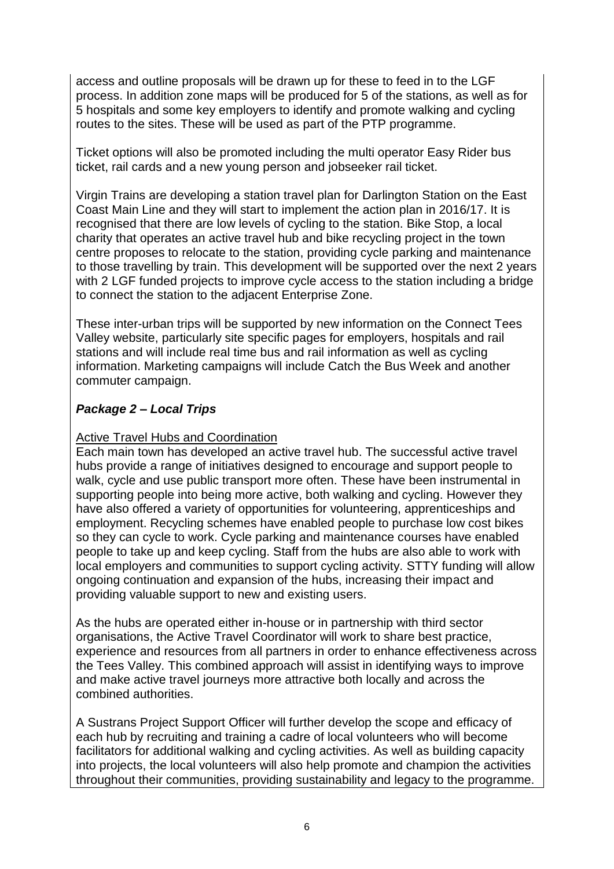access and outline proposals will be drawn up for these to feed in to the LGF process. In addition zone maps will be produced for 5 of the stations, as well as for 5 hospitals and some key employers to identify and promote walking and cycling routes to the sites. These will be used as part of the PTP programme.

Ticket options will also be promoted including the multi operator Easy Rider bus ticket, rail cards and a new young person and jobseeker rail ticket.

Virgin Trains are developing a station travel plan for Darlington Station on the East Coast Main Line and they will start to implement the action plan in 2016/17. It is recognised that there are low levels of cycling to the station. Bike Stop, a local charity that operates an active travel hub and bike recycling project in the town centre proposes to relocate to the station, providing cycle parking and maintenance to those travelling by train. This development will be supported over the next 2 years with 2 LGF funded projects to improve cycle access to the station including a bridge to connect the station to the adjacent Enterprise Zone.

These inter-urban trips will be supported by new information on the Connect Tees Valley website, particularly site specific pages for employers, hospitals and rail stations and will include real time bus and rail information as well as cycling information. Marketing campaigns will include Catch the Bus Week and another commuter campaign.

## *Package 2 – Local Trips*

#### Active Travel Hubs and Coordination

Each main town has developed an active travel hub. The successful active travel hubs provide a range of initiatives designed to encourage and support people to walk, cycle and use public transport more often. These have been instrumental in supporting people into being more active, both walking and cycling. However they have also offered a variety of opportunities for volunteering, apprenticeships and employment. Recycling schemes have enabled people to purchase low cost bikes so they can cycle to work. Cycle parking and maintenance courses have enabled people to take up and keep cycling. Staff from the hubs are also able to work with local employers and communities to support cycling activity. STTY funding will allow ongoing continuation and expansion of the hubs, increasing their impact and providing valuable support to new and existing users.

As the hubs are operated either in-house or in partnership with third sector organisations, the Active Travel Coordinator will work to share best practice, experience and resources from all partners in order to enhance effectiveness across the Tees Valley. This combined approach will assist in identifying ways to improve and make active travel journeys more attractive both locally and across the combined authorities.

A Sustrans Project Support Officer will further develop the scope and efficacy of each hub by recruiting and training a cadre of local volunteers who will become facilitators for additional walking and cycling activities. As well as building capacity into projects, the local volunteers will also help promote and champion the activities throughout their communities, providing sustainability and legacy to the programme.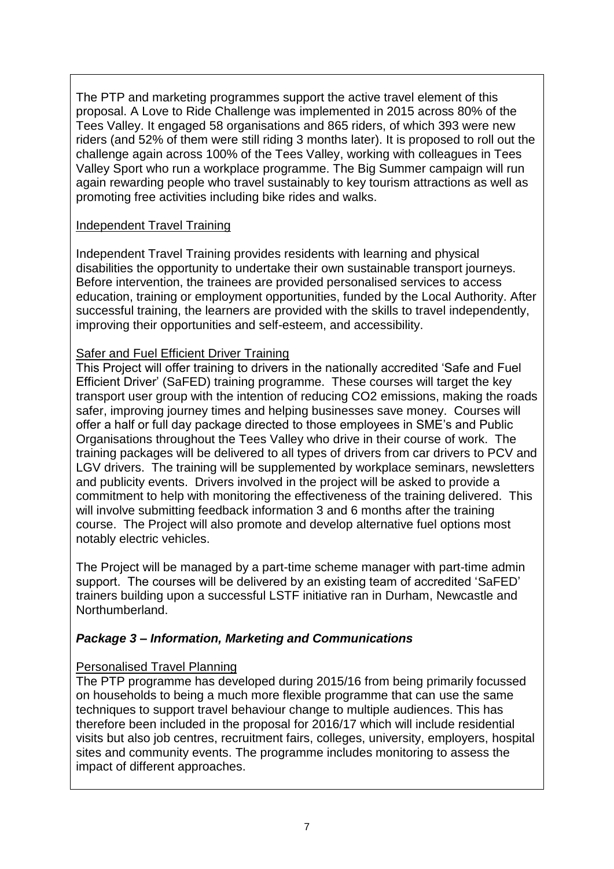The PTP and marketing programmes support the active travel element of this proposal. A Love to Ride Challenge was implemented in 2015 across 80% of the Tees Valley. It engaged 58 organisations and 865 riders, of which 393 were new riders (and 52% of them were still riding 3 months later). It is proposed to roll out the challenge again across 100% of the Tees Valley, working with colleagues in Tees Valley Sport who run a workplace programme. The Big Summer campaign will run again rewarding people who travel sustainably to key tourism attractions as well as promoting free activities including bike rides and walks.

#### Independent Travel Training

Independent Travel Training provides residents with learning and physical disabilities the opportunity to undertake their own sustainable transport journeys. Before intervention, the trainees are provided personalised services to access education, training or employment opportunities, funded by the Local Authority. After successful training, the learners are provided with the skills to travel independently, improving their opportunities and self-esteem, and accessibility.

#### **Safer and Fuel Efficient Driver Training**

This Project will offer training to drivers in the nationally accredited 'Safe and Fuel Efficient Driver' (SaFED) training programme. These courses will target the key transport user group with the intention of reducing CO2 emissions, making the roads safer, improving journey times and helping businesses save money. Courses will offer a half or full day package directed to those employees in SME's and Public Organisations throughout the Tees Valley who drive in their course of work. The training packages will be delivered to all types of drivers from car drivers to PCV and LGV drivers. The training will be supplemented by workplace seminars, newsletters and publicity events. Drivers involved in the project will be asked to provide a commitment to help with monitoring the effectiveness of the training delivered. This will involve submitting feedback information 3 and 6 months after the training course. The Project will also promote and develop alternative fuel options most notably electric vehicles.

The Project will be managed by a part-time scheme manager with part-time admin support. The courses will be delivered by an existing team of accredited 'SaFED' trainers building upon a successful LSTF initiative ran in Durham, Newcastle and Northumberland.

## *Package 3 – Information, Marketing and Communications*

## Personalised Travel Planning

The PTP programme has developed during 2015/16 from being primarily focussed on households to being a much more flexible programme that can use the same techniques to support travel behaviour change to multiple audiences. This has therefore been included in the proposal for 2016/17 which will include residential visits but also job centres, recruitment fairs, colleges, university, employers, hospital sites and community events. The programme includes monitoring to assess the impact of different approaches.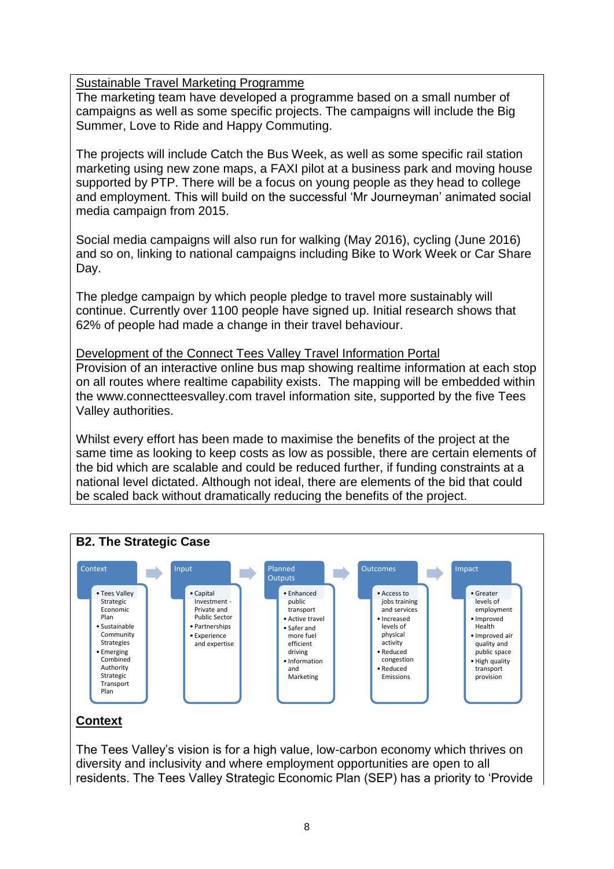Sustainable Travel Marketing Programme

The marketing team have developed a programme based on a small number of campaigns as well as some specific projects. The campaigns will include the Big Summer, Love to Ride and Happy Commuting.

The projects will include Catch the Bus Week, as well as some specific rail station marketing using new zone maps, a FAXI pilot at a business park and moving house supported by PTP. There will be a focus on young people as they head to college and employment. This will build on the successful 'Mr Journeyman' animated social media campaign from 2015.

Social media campaigns will also run for walking (May 2016), cycling (June 2016) and so on, linking to national campaigns including Bike to Work Week or Car Share Day.

The pledge campaign by which people pledge to travel more sustainably will continue. Currently over 1100 people have signed up. Initial research shows that 62% of people had made a change in their travel behaviour.

Development of the Connect Tees Valley Travel Information Portal Provision of an interactive online bus map showing realtime information at each stop on all routes where realtime capability exists. The mapping will be embedded within the www.connectteesvalley.com travel information site, supported by the five Tees Valley authorities.

Whilst every effort has been made to maximise the benefits of the project at the same time as looking to keep costs as low as possible, there are certain elements of the bid which are scalable and could be reduced further, if funding constraints at a national level dictated. Although not ideal, there are elements of the bid that could be scaled back without dramatically reducing the benefits of the project.



The Tees Valley's vision is for a high value, low-carbon economy which thrives on diversity and inclusivity and where employment opportunities are open to all residents. The Tees Valley Strategic Economic Plan (SEP) has a priority to 'Provide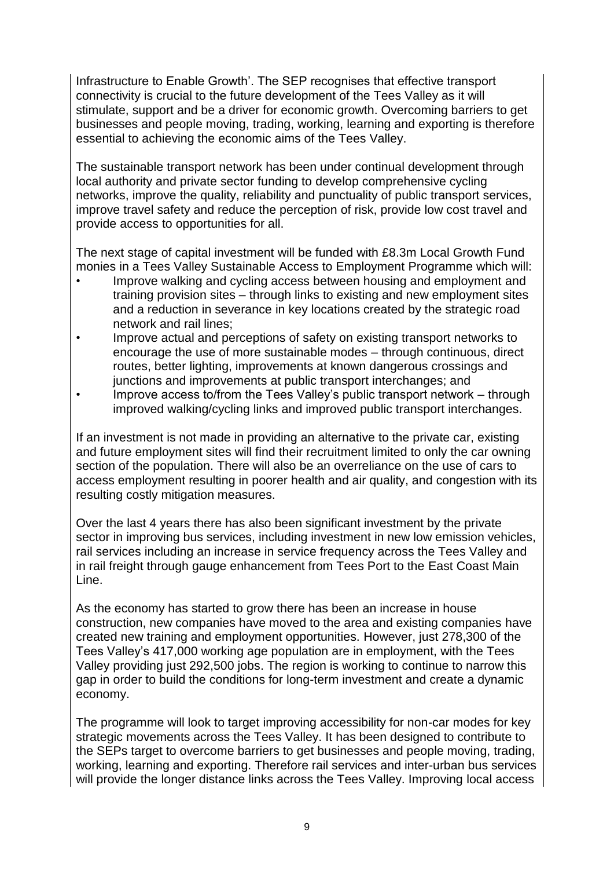Infrastructure to Enable Growth'. The SEP recognises that effective transport connectivity is crucial to the future development of the Tees Valley as it will stimulate, support and be a driver for economic growth. Overcoming barriers to get businesses and people moving, trading, working, learning and exporting is therefore essential to achieving the economic aims of the Tees Valley.

The sustainable transport network has been under continual development through local authority and private sector funding to develop comprehensive cycling networks, improve the quality, reliability and punctuality of public transport services, improve travel safety and reduce the perception of risk, provide low cost travel and provide access to opportunities for all.

The next stage of capital investment will be funded with £8.3m Local Growth Fund monies in a Tees Valley Sustainable Access to Employment Programme which will:

- Improve walking and cycling access between housing and employment and training provision sites – through links to existing and new employment sites and a reduction in severance in key locations created by the strategic road network and rail lines;
- Improve actual and perceptions of safety on existing transport networks to encourage the use of more sustainable modes – through continuous, direct routes, better lighting, improvements at known dangerous crossings and junctions and improvements at public transport interchanges; and
- Improve access to/from the Tees Valley's public transport network through improved walking/cycling links and improved public transport interchanges.

If an investment is not made in providing an alternative to the private car, existing and future employment sites will find their recruitment limited to only the car owning section of the population. There will also be an overreliance on the use of cars to access employment resulting in poorer health and air quality, and congestion with its resulting costly mitigation measures.

Over the last 4 years there has also been significant investment by the private sector in improving bus services, including investment in new low emission vehicles, rail services including an increase in service frequency across the Tees Valley and in rail freight through gauge enhancement from Tees Port to the East Coast Main Line.

As the economy has started to grow there has been an increase in house construction, new companies have moved to the area and existing companies have created new training and employment opportunities. However, just 278,300 of the Tees Valley's 417,000 working age population are in employment, with the Tees Valley providing just 292,500 jobs. The region is working to continue to narrow this gap in order to build the conditions for long-term investment and create a dynamic economy.

The programme will look to target improving accessibility for non-car modes for key strategic movements across the Tees Valley. It has been designed to contribute to the SEPs target to overcome barriers to get businesses and people moving, trading, working, learning and exporting. Therefore rail services and inter-urban bus services will provide the longer distance links across the Tees Valley. Improving local access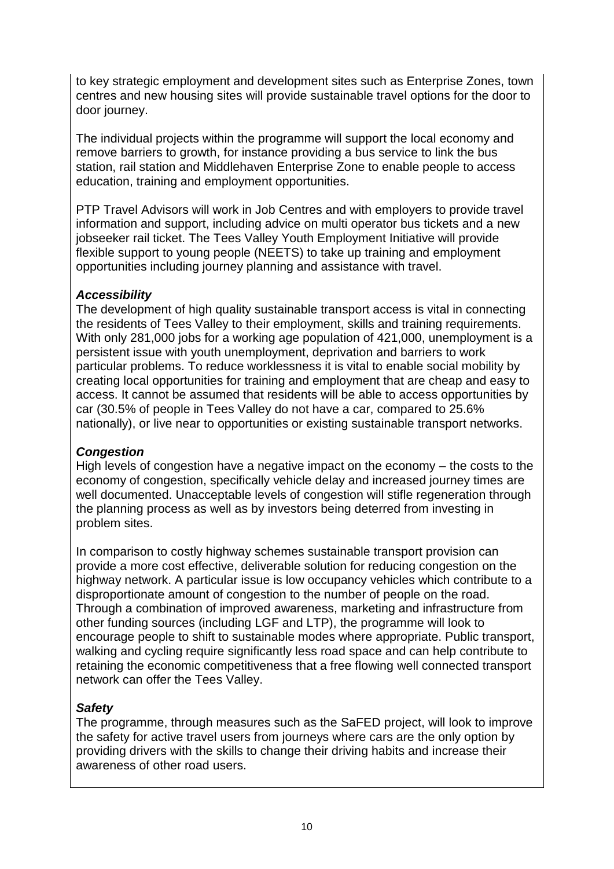to key strategic employment and development sites such as Enterprise Zones, town centres and new housing sites will provide sustainable travel options for the door to door journey.

The individual projects within the programme will support the local economy and remove barriers to growth, for instance providing a bus service to link the bus station, rail station and Middlehaven Enterprise Zone to enable people to access education, training and employment opportunities.

PTP Travel Advisors will work in Job Centres and with employers to provide travel information and support, including advice on multi operator bus tickets and a new jobseeker rail ticket. The Tees Valley Youth Employment Initiative will provide flexible support to young people (NEETS) to take up training and employment opportunities including journey planning and assistance with travel.

## *Accessibility*

The development of high quality sustainable transport access is vital in connecting the residents of Tees Valley to their employment, skills and training requirements. With only 281,000 jobs for a working age population of 421,000, unemployment is a persistent issue with youth unemployment, deprivation and barriers to work particular problems. To reduce worklessness it is vital to enable social mobility by creating local opportunities for training and employment that are cheap and easy to access. It cannot be assumed that residents will be able to access opportunities by car (30.5% of people in Tees Valley do not have a car, compared to 25.6% nationally), or live near to opportunities or existing sustainable transport networks.

## *Congestion*

High levels of congestion have a negative impact on the economy – the costs to the economy of congestion, specifically vehicle delay and increased journey times are well documented. Unacceptable levels of congestion will stifle regeneration through the planning process as well as by investors being deterred from investing in problem sites.

In comparison to costly highway schemes sustainable transport provision can provide a more cost effective, deliverable solution for reducing congestion on the highway network. A particular issue is low occupancy vehicles which contribute to a disproportionate amount of congestion to the number of people on the road. Through a combination of improved awareness, marketing and infrastructure from other funding sources (including LGF and LTP), the programme will look to encourage people to shift to sustainable modes where appropriate. Public transport, walking and cycling require significantly less road space and can help contribute to retaining the economic competitiveness that a free flowing well connected transport network can offer the Tees Valley.

## *Safety*

The programme, through measures such as the SaFED project, will look to improve the safety for active travel users from journeys where cars are the only option by providing drivers with the skills to change their driving habits and increase their awareness of other road users.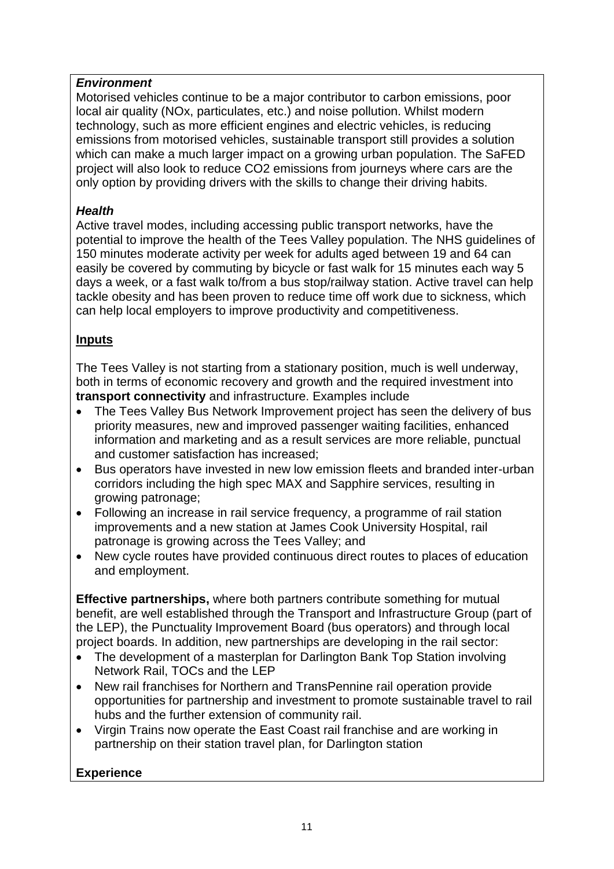## *Environment*

Motorised vehicles continue to be a major contributor to carbon emissions, poor local air quality (NOx, particulates, etc.) and noise pollution. Whilst modern technology, such as more efficient engines and electric vehicles, is reducing emissions from motorised vehicles, sustainable transport still provides a solution which can make a much larger impact on a growing urban population. The SaFED project will also look to reduce CO2 emissions from journeys where cars are the only option by providing drivers with the skills to change their driving habits.

#### *Health*

Active travel modes, including accessing public transport networks, have the potential to improve the health of the Tees Valley population. The NHS guidelines of 150 minutes moderate activity per week for adults aged between 19 and 64 can easily be covered by commuting by bicycle or fast walk for 15 minutes each way 5 days a week, or a fast walk to/from a bus stop/railway station. Active travel can help tackle obesity and has been proven to reduce time off work due to sickness, which can help local employers to improve productivity and competitiveness.

## **Inputs**

The Tees Valley is not starting from a stationary position, much is well underway, both in terms of economic recovery and growth and the required investment into **transport connectivity** and infrastructure. Examples include

- The Tees Valley Bus Network Improvement project has seen the delivery of bus priority measures, new and improved passenger waiting facilities, enhanced information and marketing and as a result services are more reliable, punctual and customer satisfaction has increased;
- Bus operators have invested in new low emission fleets and branded inter-urban corridors including the high spec MAX and Sapphire services, resulting in growing patronage;
- Following an increase in rail service frequency, a programme of rail station improvements and a new station at James Cook University Hospital, rail patronage is growing across the Tees Valley; and
- New cycle routes have provided continuous direct routes to places of education and employment.

**Effective partnerships,** where both partners contribute something for mutual benefit, are well established through the Transport and Infrastructure Group (part of the LEP), the Punctuality Improvement Board (bus operators) and through local project boards. In addition, new partnerships are developing in the rail sector:

- The development of a masterplan for Darlington Bank Top Station involving Network Rail, TOCs and the LEP
- New rail franchises for Northern and TransPennine rail operation provide opportunities for partnership and investment to promote sustainable travel to rail hubs and the further extension of community rail.
- Virgin Trains now operate the East Coast rail franchise and are working in partnership on their station travel plan, for Darlington station

## **Experience**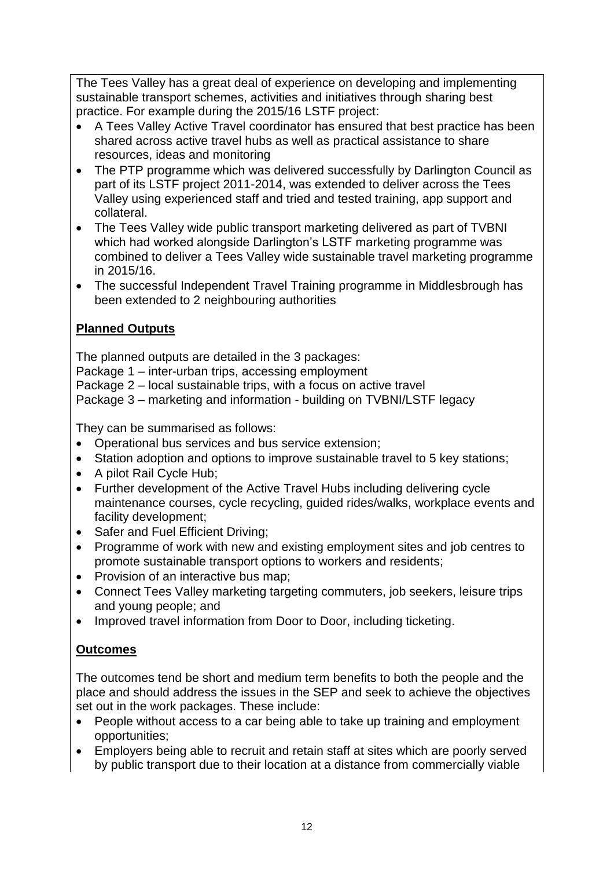The Tees Valley has a great deal of experience on developing and implementing sustainable transport schemes, activities and initiatives through sharing best practice. For example during the 2015/16 LSTF project:

- A Tees Valley Active Travel coordinator has ensured that best practice has been shared across active travel hubs as well as practical assistance to share resources, ideas and monitoring
- The PTP programme which was delivered successfully by Darlington Council as part of its LSTF project 2011-2014, was extended to deliver across the Tees Valley using experienced staff and tried and tested training, app support and collateral.
- The Tees Valley wide public transport marketing delivered as part of TVBNI which had worked alongside Darlington's LSTF marketing programme was combined to deliver a Tees Valley wide sustainable travel marketing programme in 2015/16.
- The successful Independent Travel Training programme in Middlesbrough has been extended to 2 neighbouring authorities

## **Planned Outputs**

The planned outputs are detailed in the 3 packages: Package 1 – inter-urban trips, accessing employment Package 2 – local sustainable trips, with a focus on active travel Package 3 – marketing and information - building on TVBNI/LSTF legacy

They can be summarised as follows:

- Operational bus services and bus service extension;
- Station adoption and options to improve sustainable travel to 5 key stations;
- A pilot Rail Cycle Hub;
- Further development of the Active Travel Hubs including delivering cycle maintenance courses, cycle recycling, guided rides/walks, workplace events and facility development;
- Safer and Fuel Efficient Driving;
- Programme of work with new and existing employment sites and job centres to promote sustainable transport options to workers and residents;
- Provision of an interactive bus map;
- Connect Tees Valley marketing targeting commuters, job seekers, leisure trips and young people; and
- Improved travel information from Door to Door, including ticketing.

## **Outcomes**

The outcomes tend be short and medium term benefits to both the people and the place and should address the issues in the SEP and seek to achieve the objectives set out in the work packages. These include:

- People without access to a car being able to take up training and employment opportunities;
- Employers being able to recruit and retain staff at sites which are poorly served by public transport due to their location at a distance from commercially viable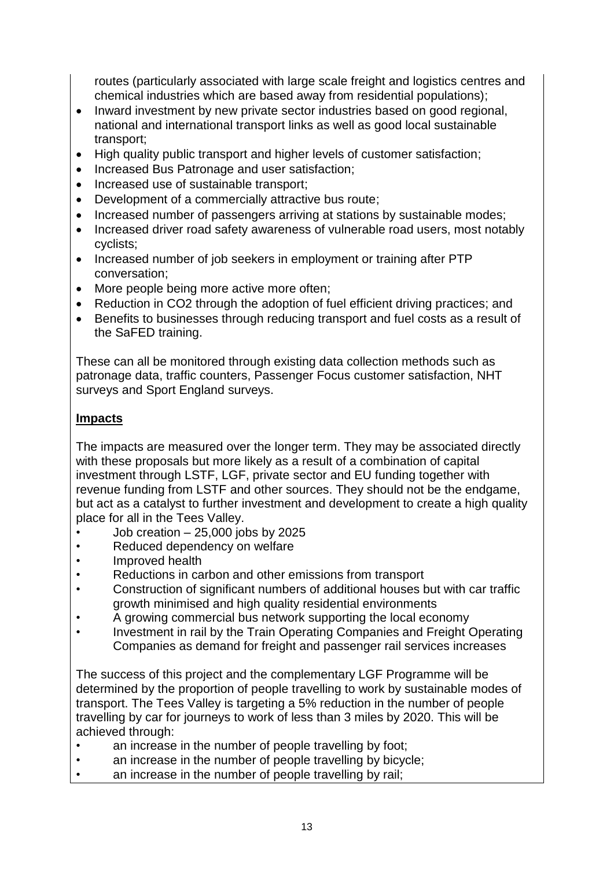routes (particularly associated with large scale freight and logistics centres and chemical industries which are based away from residential populations);

- Inward investment by new private sector industries based on good regional, national and international transport links as well as good local sustainable transport;
- High quality public transport and higher levels of customer satisfaction;
- Increased Bus Patronage and user satisfaction:
- Increased use of sustainable transport;
- Development of a commercially attractive bus route;
- Increased number of passengers arriving at stations by sustainable modes;
- Increased driver road safety awareness of vulnerable road users, most notably cyclists;
- Increased number of job seekers in employment or training after PTP conversation;
- More people being more active more often:
- Reduction in CO2 through the adoption of fuel efficient driving practices; and
- Benefits to businesses through reducing transport and fuel costs as a result of the SaFED training.

These can all be monitored through existing data collection methods such as patronage data, traffic counters, Passenger Focus customer satisfaction, NHT surveys and Sport England surveys.

#### **Impacts**

The impacts are measured over the longer term. They may be associated directly with these proposals but more likely as a result of a combination of capital investment through LSTF, LGF, private sector and EU funding together with revenue funding from LSTF and other sources. They should not be the endgame, but act as a catalyst to further investment and development to create a high quality place for all in the Tees Valley.

- Job creation 25,000 jobs by 2025
- Reduced dependency on welfare
- Improved health
- Reductions in carbon and other emissions from transport
- Construction of significant numbers of additional houses but with car traffic growth minimised and high quality residential environments
- A growing commercial bus network supporting the local economy
- Investment in rail by the Train Operating Companies and Freight Operating Companies as demand for freight and passenger rail services increases

The success of this project and the complementary LGF Programme will be determined by the proportion of people travelling to work by sustainable modes of transport. The Tees Valley is targeting a 5% reduction in the number of people travelling by car for journeys to work of less than 3 miles by 2020. This will be achieved through:

- an increase in the number of people travelling by foot;
- an increase in the number of people travelling by bicycle;
- an increase in the number of people travelling by rail;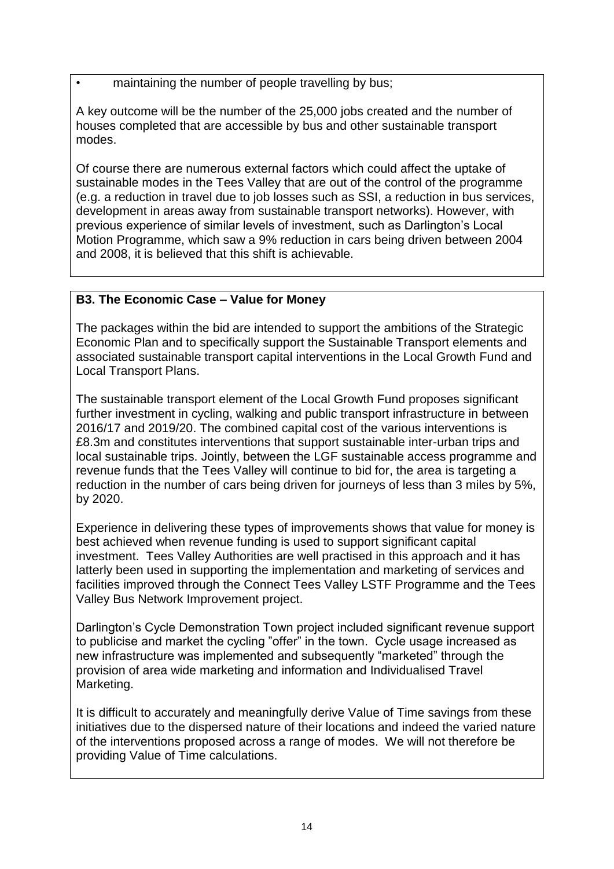• maintaining the number of people travelling by bus;

A key outcome will be the number of the 25,000 jobs created and the number of houses completed that are accessible by bus and other sustainable transport modes.

Of course there are numerous external factors which could affect the uptake of sustainable modes in the Tees Valley that are out of the control of the programme (e.g. a reduction in travel due to job losses such as SSI, a reduction in bus services, development in areas away from sustainable transport networks). However, with previous experience of similar levels of investment, such as Darlington's Local Motion Programme, which saw a 9% reduction in cars being driven between 2004 and 2008, it is believed that this shift is achievable.

## **B3. The Economic Case – Value for Money**

The packages within the bid are intended to support the ambitions of the Strategic Economic Plan and to specifically support the Sustainable Transport elements and associated sustainable transport capital interventions in the Local Growth Fund and Local Transport Plans.

The sustainable transport element of the Local Growth Fund proposes significant further investment in cycling, walking and public transport infrastructure in between 2016/17 and 2019/20. The combined capital cost of the various interventions is £8.3m and constitutes interventions that support sustainable inter-urban trips and local sustainable trips. Jointly, between the LGF sustainable access programme and revenue funds that the Tees Valley will continue to bid for, the area is targeting a reduction in the number of cars being driven for journeys of less than 3 miles by 5%, by 2020.

Experience in delivering these types of improvements shows that value for money is best achieved when revenue funding is used to support significant capital investment. Tees Valley Authorities are well practised in this approach and it has latterly been used in supporting the implementation and marketing of services and facilities improved through the Connect Tees Valley LSTF Programme and the Tees Valley Bus Network Improvement project.

Darlington's Cycle Demonstration Town project included significant revenue support to publicise and market the cycling "offer" in the town. Cycle usage increased as new infrastructure was implemented and subsequently "marketed" through the provision of area wide marketing and information and Individualised Travel Marketing.

It is difficult to accurately and meaningfully derive Value of Time savings from these initiatives due to the dispersed nature of their locations and indeed the varied nature of the interventions proposed across a range of modes. We will not therefore be providing Value of Time calculations.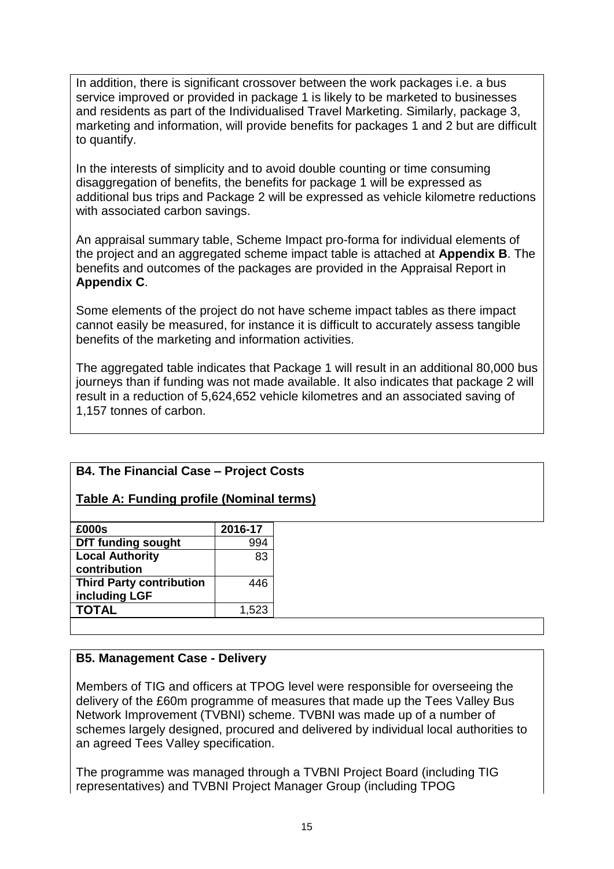In addition, there is significant crossover between the work packages i.e. a bus service improved or provided in package 1 is likely to be marketed to businesses and residents as part of the Individualised Travel Marketing. Similarly, package 3, marketing and information, will provide benefits for packages 1 and 2 but are difficult to quantify.

In the interests of simplicity and to avoid double counting or time consuming disaggregation of benefits, the benefits for package 1 will be expressed as additional bus trips and Package 2 will be expressed as vehicle kilometre reductions with associated carbon savings.

An appraisal summary table, Scheme Impact pro-forma for individual elements of the project and an aggregated scheme impact table is attached at **Appendix B**. The benefits and outcomes of the packages are provided in the Appraisal Report in **Appendix C**.

Some elements of the project do not have scheme impact tables as there impact cannot easily be measured, for instance it is difficult to accurately assess tangible benefits of the marketing and information activities.

The aggregated table indicates that Package 1 will result in an additional 80,000 bus journeys than if funding was not made available. It also indicates that package 2 will result in a reduction of 5,624,652 vehicle kilometres and an associated saving of 1,157 tonnes of carbon.

## **B4. The Financial Case – Project Costs**

#### **Table A: Funding profile (Nominal terms)**

| £000s                           | 2016-17 |
|---------------------------------|---------|
| <b>DfT funding sought</b>       | 994     |
| <b>Local Authority</b>          | 83      |
| contribution                    |         |
| <b>Third Party contribution</b> | 446     |
| including LGF                   |         |
| <b>TOTAL</b>                    | 1,523   |
|                                 |         |

#### **B5. Management Case - Delivery**

Members of TIG and officers at TPOG level were responsible for overseeing the delivery of the £60m programme of measures that made up the Tees Valley Bus Network Improvement (TVBNI) scheme. TVBNI was made up of a number of schemes largely designed, procured and delivered by individual local authorities to an agreed Tees Valley specification.

The programme was managed through a TVBNI Project Board (including TIG representatives) and TVBNI Project Manager Group (including TPOG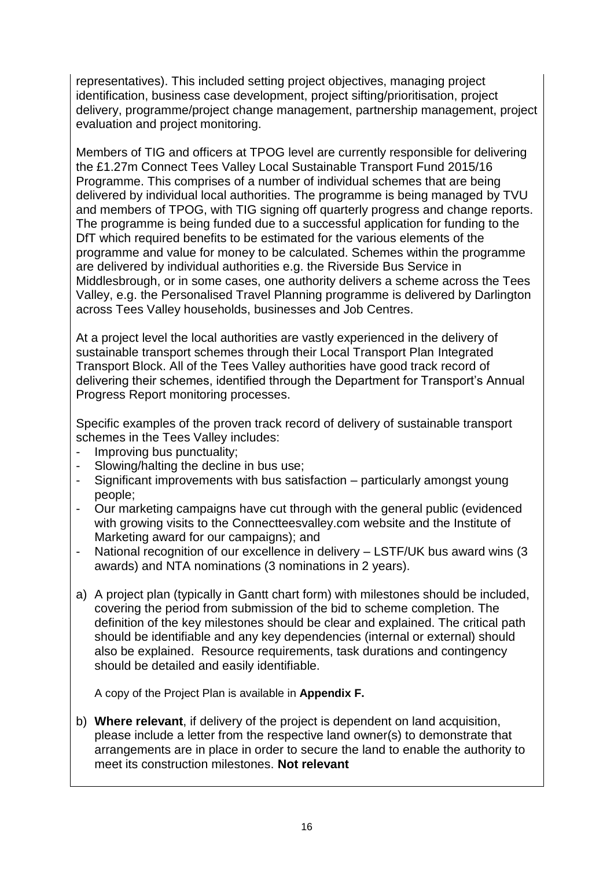representatives). This included setting project objectives, managing project identification, business case development, project sifting/prioritisation, project delivery, programme/project change management, partnership management, project evaluation and project monitoring.

Members of TIG and officers at TPOG level are currently responsible for delivering the £1.27m Connect Tees Valley Local Sustainable Transport Fund 2015/16 Programme. This comprises of a number of individual schemes that are being delivered by individual local authorities. The programme is being managed by TVU and members of TPOG, with TIG signing off quarterly progress and change reports. The programme is being funded due to a successful application for funding to the DfT which required benefits to be estimated for the various elements of the programme and value for money to be calculated. Schemes within the programme are delivered by individual authorities e.g. the Riverside Bus Service in Middlesbrough, or in some cases, one authority delivers a scheme across the Tees Valley, e.g. the Personalised Travel Planning programme is delivered by Darlington across Tees Valley households, businesses and Job Centres.

At a project level the local authorities are vastly experienced in the delivery of sustainable transport schemes through their Local Transport Plan Integrated Transport Block. All of the Tees Valley authorities have good track record of delivering their schemes, identified through the Department for Transport's Annual Progress Report monitoring processes.

Specific examples of the proven track record of delivery of sustainable transport schemes in the Tees Valley includes:

- Improving bus punctuality;
- Slowing/halting the decline in bus use;
- Significant improvements with bus satisfaction particularly amongst young people;
- Our marketing campaigns have cut through with the general public (evidenced with growing visits to the Connectteesvalley.com website and the Institute of Marketing award for our campaigns); and
- National recognition of our excellence in delivery LSTF/UK bus award wins (3 awards) and NTA nominations (3 nominations in 2 years).
- a) A project plan (typically in Gantt chart form) with milestones should be included, covering the period from submission of the bid to scheme completion. The definition of the key milestones should be clear and explained. The critical path should be identifiable and any key dependencies (internal or external) should also be explained. Resource requirements, task durations and contingency should be detailed and easily identifiable.

A copy of the Project Plan is available in **Appendix F.**

b) **Where relevant**, if delivery of the project is dependent on land acquisition, please include a letter from the respective land owner(s) to demonstrate that arrangements are in place in order to secure the land to enable the authority to meet its construction milestones. **Not relevant**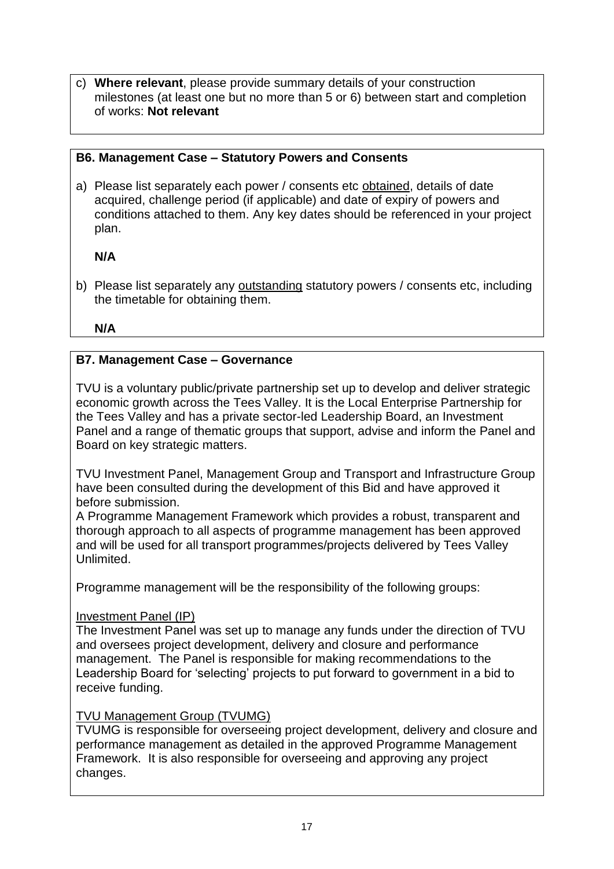c) **Where relevant**, please provide summary details of your construction milestones (at least one but no more than 5 or 6) between start and completion of works: **Not relevant**

## **B6. Management Case – Statutory Powers and Consents**

a) Please list separately each power / consents etc obtained, details of date acquired, challenge period (if applicable) and date of expiry of powers and conditions attached to them. Any key dates should be referenced in your project plan.

#### **N/A**

b) Please list separately any outstanding statutory powers / consents etc, including the timetable for obtaining them.

**N/A**

#### **B7. Management Case – Governance**

TVU is a voluntary public/private partnership set up to develop and deliver strategic economic growth across the Tees Valley. It is the Local Enterprise Partnership for the Tees Valley and has a private sector-led Leadership Board, an Investment Panel and a range of thematic groups that support, advise and inform the Panel and Board on key strategic matters.

TVU Investment Panel, Management Group and Transport and Infrastructure Group have been consulted during the development of this Bid and have approved it before submission.

A Programme Management Framework which provides a robust, transparent and thorough approach to all aspects of programme management has been approved and will be used for all transport programmes/projects delivered by Tees Valley Unlimited.

Programme management will be the responsibility of the following groups:

#### Investment Panel (IP)

The Investment Panel was set up to manage any funds under the direction of TVU and oversees project development, delivery and closure and performance management. The Panel is responsible for making recommendations to the Leadership Board for 'selecting' projects to put forward to government in a bid to receive funding.

#### TVU Management Group (TVUMG)

TVUMG is responsible for overseeing project development, delivery and closure and performance management as detailed in the approved Programme Management Framework. It is also responsible for overseeing and approving any project changes.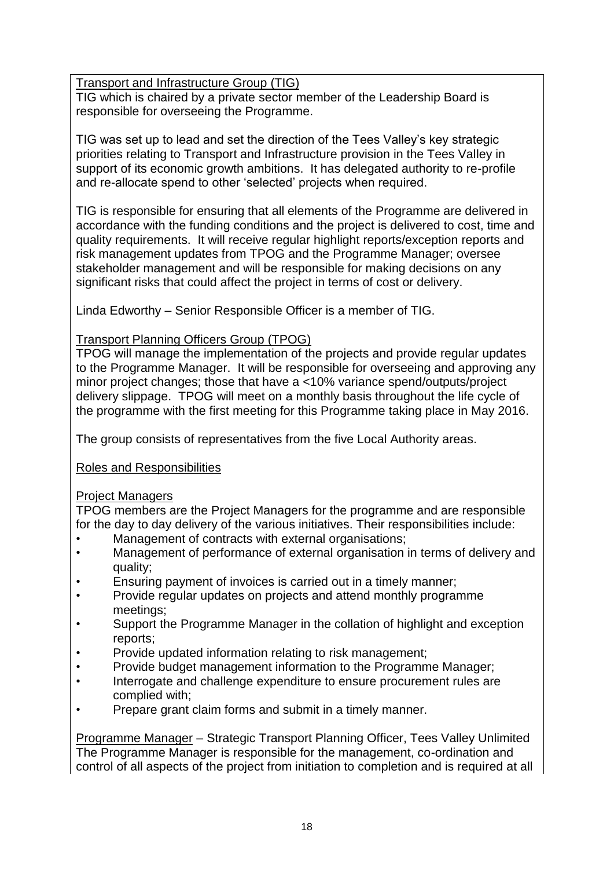Transport and Infrastructure Group (TIG)

TIG which is chaired by a private sector member of the Leadership Board is responsible for overseeing the Programme.

TIG was set up to lead and set the direction of the Tees Valley's key strategic priorities relating to Transport and Infrastructure provision in the Tees Valley in support of its economic growth ambitions. It has delegated authority to re-profile and re-allocate spend to other 'selected' projects when required.

TIG is responsible for ensuring that all elements of the Programme are delivered in accordance with the funding conditions and the project is delivered to cost, time and quality requirements. It will receive regular highlight reports/exception reports and risk management updates from TPOG and the Programme Manager; oversee stakeholder management and will be responsible for making decisions on any significant risks that could affect the project in terms of cost or delivery.

Linda Edworthy – Senior Responsible Officer is a member of TIG.

## Transport Planning Officers Group (TPOG)

TPOG will manage the implementation of the projects and provide regular updates to the Programme Manager. It will be responsible for overseeing and approving any minor project changes; those that have a <10% variance spend/outputs/project delivery slippage. TPOG will meet on a monthly basis throughout the life cycle of the programme with the first meeting for this Programme taking place in May 2016.

The group consists of representatives from the five Local Authority areas.

## Roles and Responsibilities

## Project Managers

TPOG members are the Project Managers for the programme and are responsible for the day to day delivery of the various initiatives. Their responsibilities include:

- Management of contracts with external organisations;
- Management of performance of external organisation in terms of delivery and quality;
- Ensuring payment of invoices is carried out in a timely manner;
- Provide regular updates on projects and attend monthly programme meetings;
- Support the Programme Manager in the collation of highlight and exception reports;
- Provide updated information relating to risk management;
- Provide budget management information to the Programme Manager;
- Interrogate and challenge expenditure to ensure procurement rules are complied with;
- Prepare grant claim forms and submit in a timely manner.

Programme Manager – Strategic Transport Planning Officer, Tees Valley Unlimited The Programme Manager is responsible for the management, co-ordination and control of all aspects of the project from initiation to completion and is required at all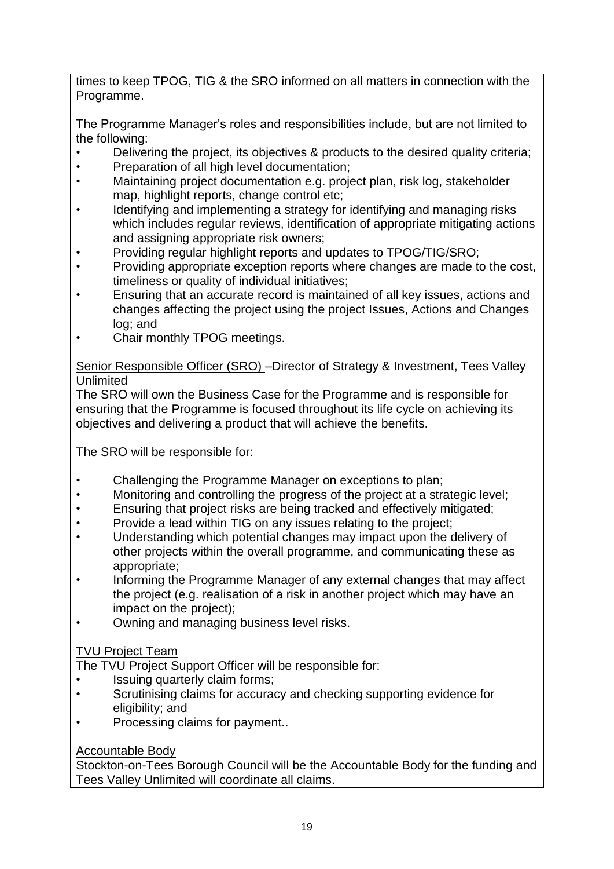times to keep TPOG, TIG & the SRO informed on all matters in connection with the Programme.

The Programme Manager's roles and responsibilities include, but are not limited to the following:

- Delivering the project, its objectives & products to the desired quality criteria;
- Preparation of all high level documentation;
- Maintaining project documentation e.g. project plan, risk log, stakeholder map, highlight reports, change control etc;
- Identifying and implementing a strategy for identifying and managing risks which includes regular reviews, identification of appropriate mitigating actions and assigning appropriate risk owners;
- Providing regular highlight reports and updates to TPOG/TIG/SRO;
- Providing appropriate exception reports where changes are made to the cost, timeliness or quality of individual initiatives;
- Ensuring that an accurate record is maintained of all key issues, actions and changes affecting the project using the project Issues, Actions and Changes log; and
- Chair monthly TPOG meetings.

Senior Responsible Officer (SRO) –Director of Strategy & Investment, Tees Valley Unlimited

The SRO will own the Business Case for the Programme and is responsible for ensuring that the Programme is focused throughout its life cycle on achieving its objectives and delivering a product that will achieve the benefits.

The SRO will be responsible for:

- Challenging the Programme Manager on exceptions to plan;
- Monitoring and controlling the progress of the project at a strategic level;
- Ensuring that project risks are being tracked and effectively mitigated;
- Provide a lead within TIG on any issues relating to the project;
- Understanding which potential changes may impact upon the delivery of other projects within the overall programme, and communicating these as appropriate;
- Informing the Programme Manager of any external changes that may affect the project (e.g. realisation of a risk in another project which may have an impact on the project);
- Owning and managing business level risks.

## TVU Project Team

The TVU Project Support Officer will be responsible for:

- Issuing quarterly claim forms;
- Scrutinising claims for accuracy and checking supporting evidence for eligibility; and
- Processing claims for payment..

## Accountable Body

Stockton-on-Tees Borough Council will be the Accountable Body for the funding and Tees Valley Unlimited will coordinate all claims.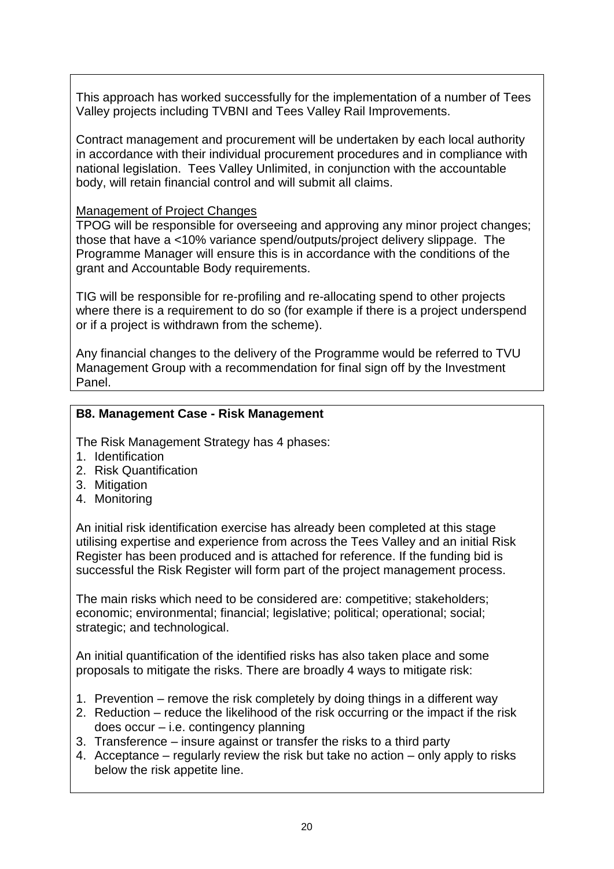This approach has worked successfully for the implementation of a number of Tees Valley projects including TVBNI and Tees Valley Rail Improvements.

Contract management and procurement will be undertaken by each local authority in accordance with their individual procurement procedures and in compliance with national legislation. Tees Valley Unlimited, in conjunction with the accountable body, will retain financial control and will submit all claims.

#### Management of Project Changes

TPOG will be responsible for overseeing and approving any minor project changes; those that have a <10% variance spend/outputs/project delivery slippage. The Programme Manager will ensure this is in accordance with the conditions of the grant and Accountable Body requirements.

TIG will be responsible for re-profiling and re-allocating spend to other projects where there is a requirement to do so (for example if there is a project underspend or if a project is withdrawn from the scheme).

Any financial changes to the delivery of the Programme would be referred to TVU Management Group with a recommendation for final sign off by the Investment Panel.

#### **B8. Management Case - Risk Management**

The Risk Management Strategy has 4 phases:

- 1. Identification
- 2. Risk Quantification
- 3. Mitigation
- 4. Monitoring

An initial risk identification exercise has already been completed at this stage utilising expertise and experience from across the Tees Valley and an initial Risk Register has been produced and is attached for reference. If the funding bid is successful the Risk Register will form part of the project management process.

The main risks which need to be considered are: competitive; stakeholders; economic; environmental; financial; legislative; political; operational; social; strategic; and technological.

An initial quantification of the identified risks has also taken place and some proposals to mitigate the risks. There are broadly 4 ways to mitigate risk:

- 1. Prevention remove the risk completely by doing things in a different way
- 2. Reduction reduce the likelihood of the risk occurring or the impact if the risk does occur – i.e. contingency planning
- 3. Transference insure against or transfer the risks to a third party
- 4. Acceptance regularly review the risk but take no action only apply to risks below the risk appetite line.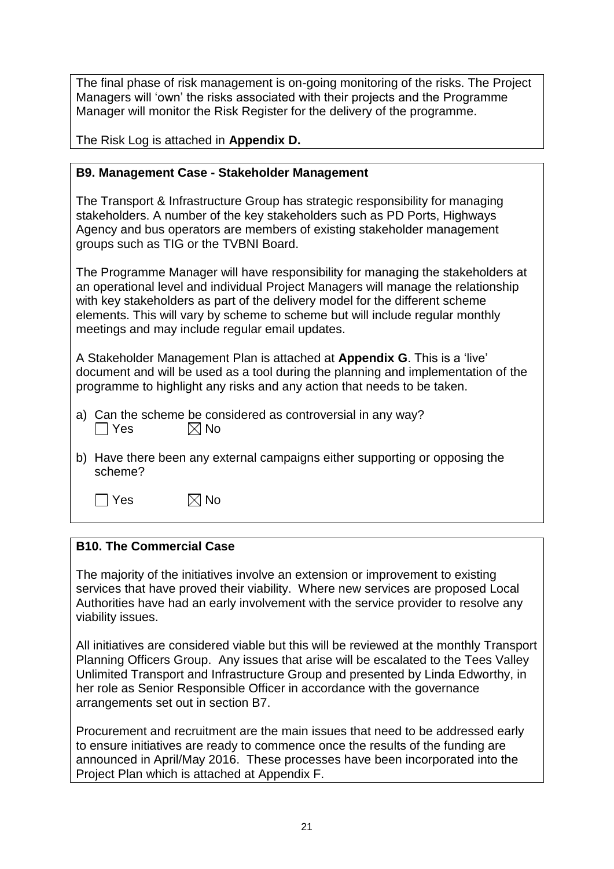The final phase of risk management is on-going monitoring of the risks. The Project Managers will 'own' the risks associated with their projects and the Programme Manager will monitor the Risk Register for the delivery of the programme.

The Risk Log is attached in **Appendix D.**

#### **B9. Management Case - Stakeholder Management**

The Transport & Infrastructure Group has strategic responsibility for managing stakeholders. A number of the key stakeholders such as PD Ports, Highways Agency and bus operators are members of existing stakeholder management groups such as TIG or the TVBNI Board.

The Programme Manager will have responsibility for managing the stakeholders at an operational level and individual Project Managers will manage the relationship with key stakeholders as part of the delivery model for the different scheme elements. This will vary by scheme to scheme but will include regular monthly meetings and may include regular email updates.

A Stakeholder Management Plan is attached at **Appendix G**. This is a 'live' document and will be used as a tool during the planning and implementation of the programme to highlight any risks and any action that needs to be taken.

- a) Can the scheme be considered as controversial in any way?  $\vert$   $\vert$  Yes  $\vert \times \vert$  No
- b) Have there been any external campaigns either supporting or opposing the scheme?

 $\Box$  Yes  $\boxtimes$  No

## **B10. The Commercial Case**

The majority of the initiatives involve an extension or improvement to existing services that have proved their viability. Where new services are proposed Local Authorities have had an early involvement with the service provider to resolve any viability issues.

All initiatives are considered viable but this will be reviewed at the monthly Transport Planning Officers Group. Any issues that arise will be escalated to the Tees Valley Unlimited Transport and Infrastructure Group and presented by Linda Edworthy, in her role as Senior Responsible Officer in accordance with the governance arrangements set out in section B7.

Procurement and recruitment are the main issues that need to be addressed early to ensure initiatives are ready to commence once the results of the funding are announced in April/May 2016. These processes have been incorporated into the Project Plan which is attached at Appendix F.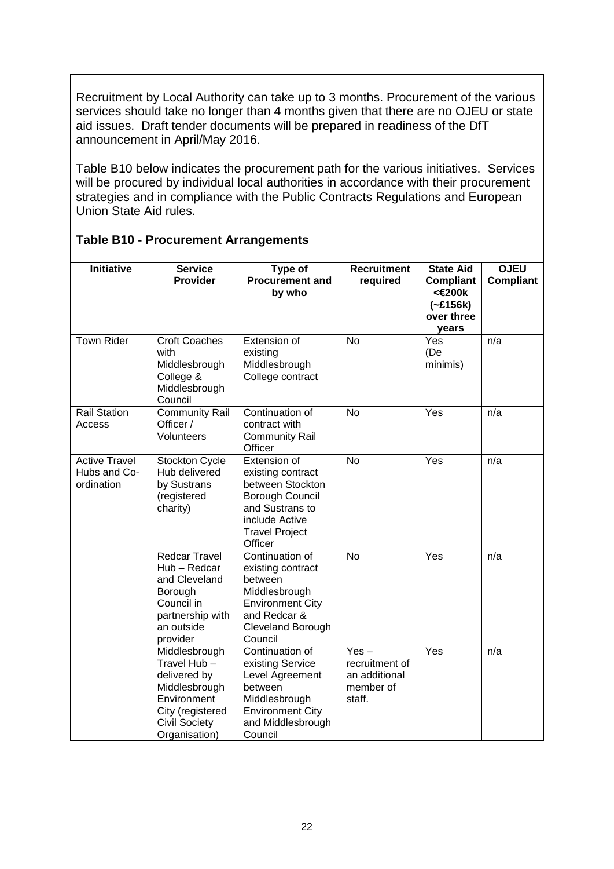Recruitment by Local Authority can take up to 3 months. Procurement of the various services should take no longer than 4 months given that there are no OJEU or state aid issues. Draft tender documents will be prepared in readiness of the DfT announcement in April/May 2016.

Table B10 below indicates the procurement path for the various initiatives. Services will be procured by individual local authorities in accordance with their procurement strategies and in compliance with the Public Contracts Regulations and European Union State Aid rules.

| <b>Initiative</b>                                  | <b>Service</b><br>Provider                                                                                                                | Type of<br><b>Procurement and</b>                                                                                                                 | <b>Recruitment</b><br>required                                    | <b>State Aid</b><br><b>Compliant</b>        | <b>OJEU</b><br><b>Compliant</b> |
|----------------------------------------------------|-------------------------------------------------------------------------------------------------------------------------------------------|---------------------------------------------------------------------------------------------------------------------------------------------------|-------------------------------------------------------------------|---------------------------------------------|---------------------------------|
|                                                    |                                                                                                                                           | by who                                                                                                                                            |                                                                   | <€200k<br>$(-£156k)$<br>over three<br>years |                                 |
| <b>Town Rider</b>                                  | <b>Croft Coaches</b><br>with<br>Middlesbrough<br>College &<br>Middlesbrough<br>Council                                                    | Extension of<br>existing<br>Middlesbrough<br>College contract                                                                                     | <b>No</b>                                                         | Yes<br>(De<br>minimis)                      | n/a                             |
| <b>Rail Station</b><br>Access                      | <b>Community Rail</b><br>Officer /<br>Volunteers                                                                                          | Continuation of<br>contract with<br><b>Community Rail</b><br>Officer                                                                              | <b>No</b>                                                         | Yes                                         | n/a                             |
| <b>Active Travel</b><br>Hubs and Co-<br>ordination | Stockton Cycle<br>Hub delivered<br>by Sustrans<br>(registered<br>charity)                                                                 | Extension of<br>existing contract<br>between Stockton<br>Borough Council<br>and Sustrans to<br>include Active<br><b>Travel Project</b><br>Officer | <b>No</b>                                                         | Yes                                         | n/a                             |
|                                                    | <b>Redcar Travel</b><br>Hub - Redcar<br>and Cleveland<br>Borough<br>Council in<br>partnership with<br>an outside<br>provider              | Continuation of<br>existing contract<br>between<br>Middlesbrough<br><b>Environment City</b><br>and Redcar &<br>Cleveland Borough<br>Council       | <b>No</b>                                                         | Yes                                         | n/a                             |
|                                                    | Middlesbrough<br>Travel Hub-<br>delivered by<br>Middlesbrough<br>Environment<br>City (registered<br><b>Civil Society</b><br>Organisation) | Continuation of<br>existing Service<br>Level Agreement<br>between<br>Middlesbrough<br><b>Environment City</b><br>and Middlesbrough<br>Council     | $Yes -$<br>recruitment of<br>an additional<br>member of<br>staff. | Yes                                         | n/a                             |

#### **Table B10 - Procurement Arrangements**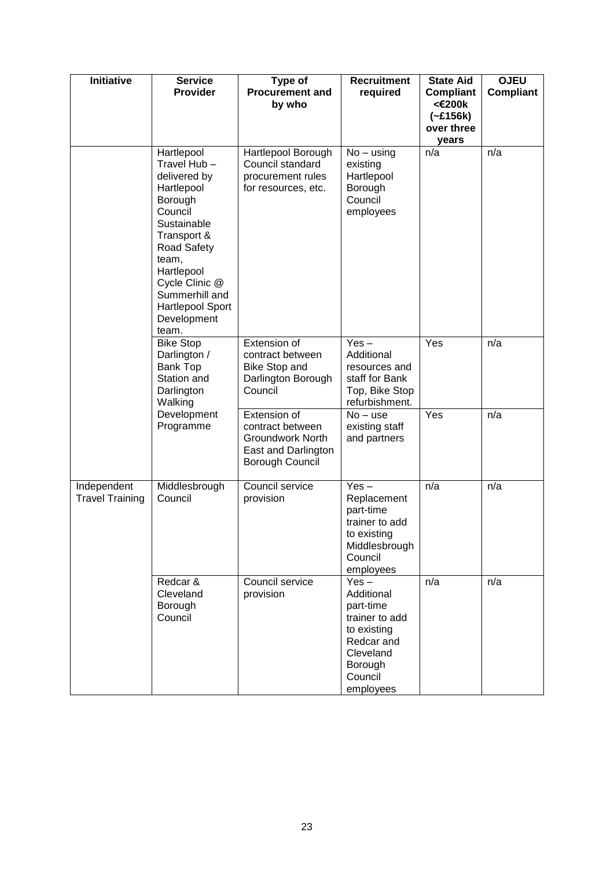| Initiative                            | <b>Service</b><br><b>Provider</b>                                                                                                                                                                                                 | Type of<br><b>Procurement and</b><br>by who                                                                  | <b>Recruitment</b><br>required                                                                                                    | <b>State Aid</b><br><b>Compliant</b><br><€200k<br>$(-£156k)$<br>over three<br>years | <b>OJEU</b><br>Compliant |
|---------------------------------------|-----------------------------------------------------------------------------------------------------------------------------------------------------------------------------------------------------------------------------------|--------------------------------------------------------------------------------------------------------------|-----------------------------------------------------------------------------------------------------------------------------------|-------------------------------------------------------------------------------------|--------------------------|
|                                       | Hartlepool<br>Travel Hub-<br>delivered by<br>Hartlepool<br>Borough<br>Council<br>Sustainable<br>Transport &<br>Road Safety<br>team,<br>Hartlepool<br>Cycle Clinic @<br>Summerhill and<br>Hartlepool Sport<br>Development<br>team. | Hartlepool Borough<br>Council standard<br>procurement rules<br>for resources, etc.                           | $No - using$<br>existing<br>Hartlepool<br>Borough<br>Council<br>employees                                                         | n/a                                                                                 | n/a                      |
|                                       | <b>Bike Stop</b><br>Darlington /<br><b>Bank Top</b><br>Station and<br>Darlington<br>Walking                                                                                                                                       | Extension of<br>contract between<br><b>Bike Stop and</b><br>Darlington Borough<br>Council                    | $Yes -$<br>Additional<br>resources and<br>staff for Bank<br>Top, Bike Stop<br>refurbishment.                                      | Yes                                                                                 | n/a                      |
|                                       | Development<br>Programme                                                                                                                                                                                                          | Extension of<br>contract between<br><b>Groundwork North</b><br>East and Darlington<br><b>Borough Council</b> | $No - use$<br>existing staff<br>and partners                                                                                      | Yes                                                                                 | n/a                      |
| Independent<br><b>Travel Training</b> | Middlesbrough<br>Council                                                                                                                                                                                                          | Council service<br>provision                                                                                 | $Yes -$<br>Replacement<br>part-time<br>trainer to add<br>to existing<br>Middlesbrough<br>Council<br>employees                     | n/a                                                                                 | n/a                      |
|                                       | Redcar &<br>Cleveland<br>Borough<br>Council                                                                                                                                                                                       | Council service<br>provision                                                                                 | $Yes -$<br>Additional<br>part-time<br>trainer to add<br>to existing<br>Redcar and<br>Cleveland<br>Borough<br>Council<br>employees | n/a                                                                                 | n/a                      |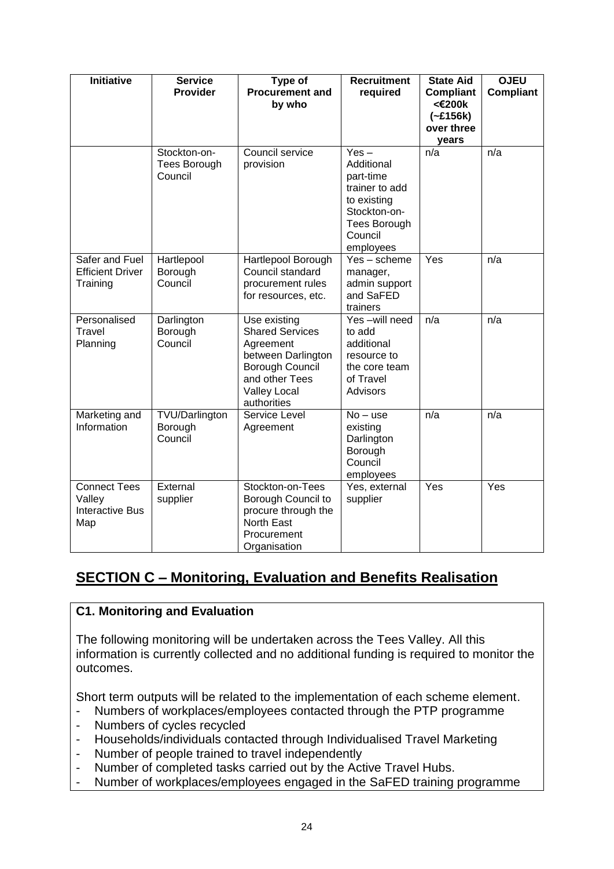| <b>Initiative</b>                                              | <b>Service</b><br>Provider                     | Type of<br><b>Procurement and</b><br>by who                                                                                                          | <b>Recruitment</b><br>required                                                                                                     | <b>State Aid</b><br><b>Compliant</b><br><€200k<br>$(-£156k)$<br>over three<br>vears | <b>OJEU</b><br><b>Compliant</b> |
|----------------------------------------------------------------|------------------------------------------------|------------------------------------------------------------------------------------------------------------------------------------------------------|------------------------------------------------------------------------------------------------------------------------------------|-------------------------------------------------------------------------------------|---------------------------------|
|                                                                | Stockton-on-<br><b>Tees Borough</b><br>Council | Council service<br>provision                                                                                                                         | $Yes -$<br>Additional<br>part-time<br>trainer to add<br>to existing<br>Stockton-on-<br><b>Tees Borough</b><br>Council<br>employees | n/a                                                                                 | n/a                             |
| Safer and Fuel<br><b>Efficient Driver</b><br>Training          | Hartlepool<br>Borough<br>Council               | Hartlepool Borough<br>Council standard<br>procurement rules<br>for resources, etc.                                                                   | Yes - scheme<br>manager,<br>admin support<br>and SaFED<br>trainers                                                                 | Yes                                                                                 | n/a                             |
| Personalised<br>Travel<br>Planning                             | Darlington<br>Borough<br>Council               | Use existing<br><b>Shared Services</b><br>Agreement<br>between Darlington<br>Borough Council<br>and other Tees<br><b>Valley Local</b><br>authorities | Yes-will need<br>to add<br>additional<br>resource to<br>the core team<br>of Travel<br>Advisors                                     | n/a                                                                                 | n/a                             |
| Marketing and<br>Information                                   | <b>TVU/Darlington</b><br>Borough<br>Council    | Service Level<br>Agreement                                                                                                                           | $No - use$<br>existing<br>Darlington<br>Borough<br>Council<br>employees                                                            | n/a                                                                                 | n/a                             |
| <b>Connect Tees</b><br>Valley<br><b>Interactive Bus</b><br>Map | External<br>supplier                           | Stockton-on-Tees<br>Borough Council to<br>procure through the<br><b>North East</b><br>Procurement<br>Organisation                                    | Yes, external<br>supplier                                                                                                          | Yes                                                                                 | Yes                             |

# **SECTION C – Monitoring, Evaluation and Benefits Realisation**

## **C1. Monitoring and Evaluation**

The following monitoring will be undertaken across the Tees Valley. All this information is currently collected and no additional funding is required to monitor the outcomes.

Short term outputs will be related to the implementation of each scheme element.

- Numbers of workplaces/employees contacted through the PTP programme
- Numbers of cycles recycled
- Households/individuals contacted through Individualised Travel Marketing
- Number of people trained to travel independently
- Number of completed tasks carried out by the Active Travel Hubs.
- Number of workplaces/employees engaged in the SaFED training programme